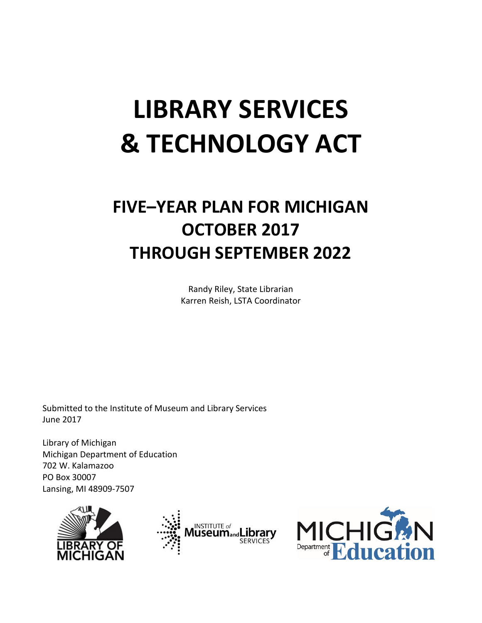# **LIBRARY SERVICES & TECHNOLOGY ACT**

# **FIVE–YEAR PLAN FOR MICHIGAN OCTOBER 2017 THROUGH SEPTEMBER 2022**

Randy Riley, State Librarian Karren Reish, LSTA Coordinator

Submitted to the Institute of Museum and Library Services June 2017

Library of Michigan Michigan Department of Education 702 W. Kalamazoo PO Box 30007 Lansing, MI 48909-7507





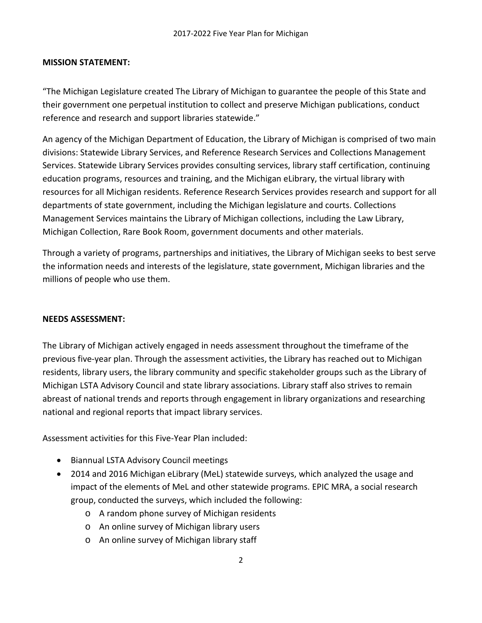#### **MISSION STATEMENT:**

"The Michigan Legislature created The Library of Michigan to guarantee the people of this State and their government one perpetual institution to collect and preserve Michigan publications, conduct reference and research and support libraries statewide."

An agency of the Michigan Department of Education, the Library of Michigan is comprised of two main divisions: Statewide Library Services, and Reference Research Services and Collections Management Services. Statewide Library Services provides consulting services, library staff certification, continuing education programs, resources and training, and the Michigan eLibrary, the virtual library with resources for all Michigan residents. Reference Research Services provides research and support for all departments of state government, including the Michigan legislature and courts. Collections Management Services maintains the Library of Michigan collections, including the Law Library, Michigan Collection, Rare Book Room, government documents and other materials.

Through a variety of programs, partnerships and initiatives, the Library of Michigan seeks to best serve the information needs and interests of the legislature, state government, Michigan libraries and the millions of people who use them.

#### **NEEDS ASSESSMENT:**

The Library of Michigan actively engaged in needs assessment throughout the timeframe of the previous five-year plan. Through the assessment activities, the Library has reached out to Michigan residents, library users, the library community and specific stakeholder groups such as the Library of Michigan LSTA Advisory Council and state library associations. Library staff also strives to remain abreast of national trends and reports through engagement in library organizations and researching national and regional reports that impact library services.

Assessment activities for this Five-Year Plan included:

- Biannual LSTA Advisory Council meetings
- 2014 and 2016 Michigan eLibrary (MeL) statewide surveys, which analyzed the usage and impact of the elements of MeL and other statewide programs. EPIC MRA, a social research group, conducted the surveys, which included the following:
	- o A random phone survey of Michigan residents
	- o An online survey of Michigan library users
	- o An online survey of Michigan library staff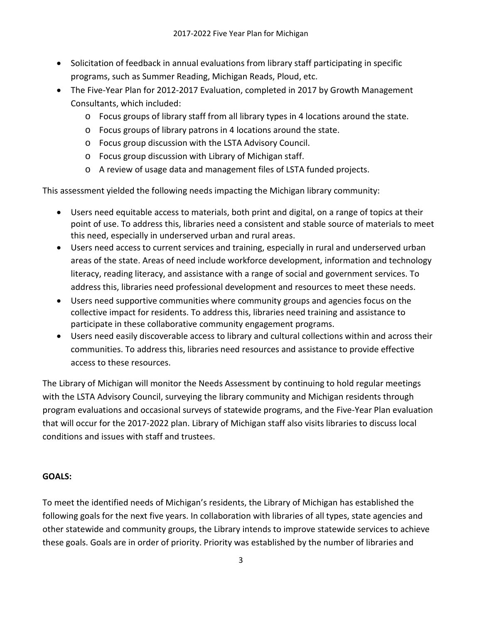- Solicitation of feedback in annual evaluations from library staff participating in specific programs, such as Summer Reading, Michigan Reads, Ploud, etc.
- The Five-Year Plan for 2012-2017 Evaluation, completed in 2017 by Growth Management Consultants, which included:
	- o Focus groups of library staff from all library types in 4 locations around the state.
	- o Focus groups of library patrons in 4 locations around the state.
	- o Focus group discussion with the LSTA Advisory Council.
	- o Focus group discussion with Library of Michigan staff.
	- o A review of usage data and management files of LSTA funded projects.

This assessment yielded the following needs impacting the Michigan library community:

- Users need equitable access to materials, both print and digital, on a range of topics at their point of use. To address this, libraries need a consistent and stable source of materials to meet this need, especially in underserved urban and rural areas.
- Users need access to current services and training, especially in rural and underserved urban areas of the state. Areas of need include workforce development, information and technology literacy, reading literacy, and assistance with a range of social and government services. To address this, libraries need professional development and resources to meet these needs.
- Users need supportive communities where community groups and agencies focus on the collective impact for residents. To address this, libraries need training and assistance to participate in these collaborative community engagement programs.
- Users need easily discoverable access to library and cultural collections within and across their communities. To address this, libraries need resources and assistance to provide effective access to these resources.

The Library of Michigan will monitor the Needs Assessment by continuing to hold regular meetings with the LSTA Advisory Council, surveying the library community and Michigan residents through program evaluations and occasional surveys of statewide programs, and the Five-Year Plan evaluation that will occur for the 2017-2022 plan. Library of Michigan staff also visits libraries to discuss local conditions and issues with staff and trustees.

#### **GOALS:**

To meet the identified needs of Michigan's residents, the Library of Michigan has established the following goals for the next five years. In collaboration with libraries of all types, state agencies and other statewide and community groups, the Library intends to improve statewide services to achieve these goals. Goals are in order of priority. Priority was established by the number of libraries and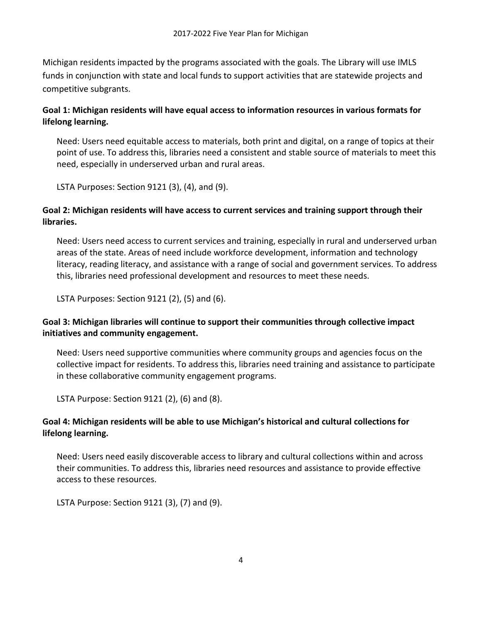Michigan residents impacted by the programs associated with the goals. The Library will use IMLS funds in conjunction with state and local funds to support activities that are statewide projects and competitive subgrants.

# **Goal 1: Michigan residents will have equal access to information resources in various formats for lifelong learning.**

Need: Users need equitable access to materials, both print and digital, on a range of topics at their point of use. To address this, libraries need a consistent and stable source of materials to meet this need, especially in underserved urban and rural areas.

LSTA Purposes: Section 9121 (3), (4), and (9).

# **Goal 2: Michigan residents will have access to current services and training support through their libraries.**

Need: Users need access to current services and training, especially in rural and underserved urban areas of the state. Areas of need include workforce development, information and technology literacy, reading literacy, and assistance with a range of social and government services. To address this, libraries need professional development and resources to meet these needs.

LSTA Purposes: Section 9121 (2), (5) and (6).

# **Goal 3: Michigan libraries will continue to support their communities through collective impact initiatives and community engagement.**

Need: Users need supportive communities where community groups and agencies focus on the collective impact for residents. To address this, libraries need training and assistance to participate in these collaborative community engagement programs.

LSTA Purpose: Section 9121 (2), (6) and (8).

# **Goal 4: Michigan residents will be able to use Michigan's historical and cultural collections for lifelong learning.**

Need: Users need easily discoverable access to library and cultural collections within and across their communities. To address this, libraries need resources and assistance to provide effective access to these resources.

LSTA Purpose: Section 9121 (3), (7) and (9).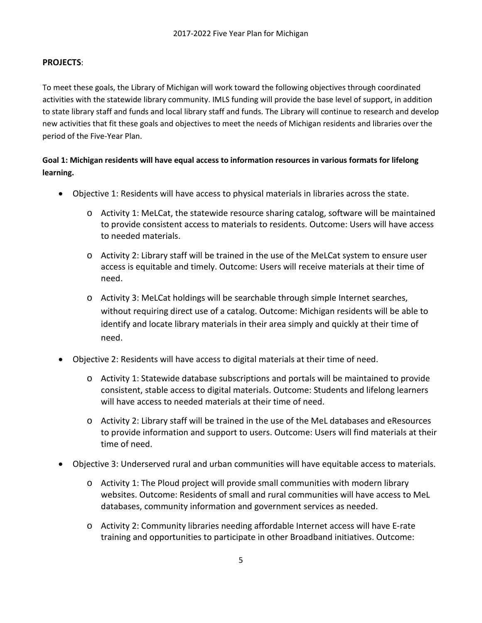#### **PROJECTS**:

To meet these goals, the Library of Michigan will work toward the following objectives through coordinated activities with the statewide library community. IMLS funding will provide the base level of support, in addition to state library staff and funds and local library staff and funds. The Library will continue to research and develop new activities that fit these goals and objectives to meet the needs of Michigan residents and libraries over the period of the Five-Year Plan.

# **Goal 1: Michigan residents will have equal access to information resources in various formats for lifelong learning.**

- Objective 1: Residents will have access to physical materials in libraries across the state.
	- o Activity 1: MeLCat, the statewide resource sharing catalog, software will be maintained to provide consistent access to materials to residents. Outcome: Users will have access to needed materials.
	- o Activity 2: Library staff will be trained in the use of the MeLCat system to ensure user access is equitable and timely. Outcome: Users will receive materials at their time of need.
	- o Activity 3: MeLCat holdings will be searchable through simple Internet searches, without requiring direct use of a catalog. Outcome: Michigan residents will be able to identify and locate library materials in their area simply and quickly at their time of need.
- Objective 2: Residents will have access to digital materials at their time of need.
	- o Activity 1: Statewide database subscriptions and portals will be maintained to provide consistent, stable access to digital materials. Outcome: Students and lifelong learners will have access to needed materials at their time of need.
	- o Activity 2: Library staff will be trained in the use of the MeL databases and eResources to provide information and support to users. Outcome: Users will find materials at their time of need.
- Objective 3: Underserved rural and urban communities will have equitable access to materials.
	- $\circ$  Activity 1: The Ploud project will provide small communities with modern library websites. Outcome: Residents of small and rural communities will have access to MeL databases, community information and government services as needed.
	- o Activity 2: Community libraries needing affordable Internet access will have E-rate training and opportunities to participate in other Broadband initiatives. Outcome: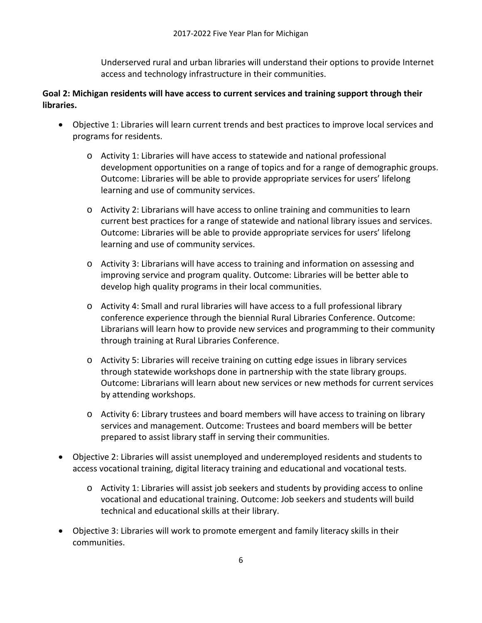Underserved rural and urban libraries will understand their options to provide Internet access and technology infrastructure in their communities.

# **Goal 2: Michigan residents will have access to current services and training support through their libraries.**

- Objective 1: Libraries will learn current trends and best practices to improve local services and programs for residents.
	- o Activity 1: Libraries will have access to statewide and national professional development opportunities on a range of topics and for a range of demographic groups. Outcome: Libraries will be able to provide appropriate services for users' lifelong learning and use of community services.
	- o Activity 2: Librarians will have access to online training and communities to learn current best practices for a range of statewide and national library issues and services. Outcome: Libraries will be able to provide appropriate services for users' lifelong learning and use of community services.
	- o Activity 3: Librarians will have access to training and information on assessing and improving service and program quality. Outcome: Libraries will be better able to develop high quality programs in their local communities.
	- o Activity 4: Small and rural libraries will have access to a full professional library conference experience through the biennial Rural Libraries Conference. Outcome: Librarians will learn how to provide new services and programming to their community through training at Rural Libraries Conference.
	- o Activity 5: Libraries will receive training on cutting edge issues in library services through statewide workshops done in partnership with the state library groups. Outcome: Librarians will learn about new services or new methods for current services by attending workshops.
	- o Activity 6: Library trustees and board members will have access to training on library services and management. Outcome: Trustees and board members will be better prepared to assist library staff in serving their communities.
- Objective 2: Libraries will assist unemployed and underemployed residents and students to access vocational training, digital literacy training and educational and vocational tests.
	- o Activity 1: Libraries will assist job seekers and students by providing access to online vocational and educational training. Outcome: Job seekers and students will build technical and educational skills at their library.
- Objective 3: Libraries will work to promote emergent and family literacy skills in their communities.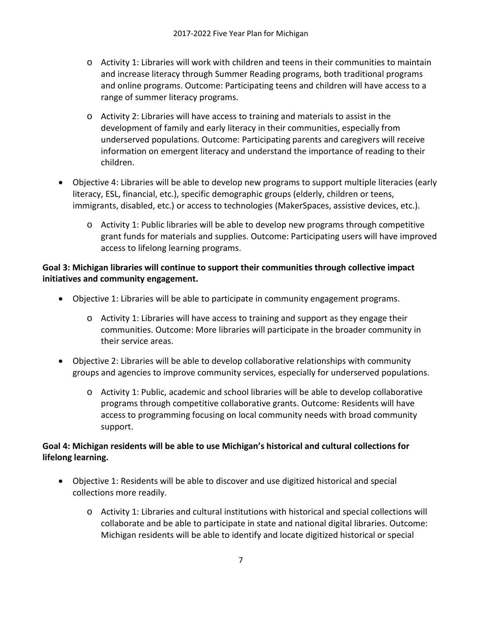- o Activity 1: Libraries will work with children and teens in their communities to maintain and increase literacy through Summer Reading programs, both traditional programs and online programs. Outcome: Participating teens and children will have access to a range of summer literacy programs.
- o Activity 2: Libraries will have access to training and materials to assist in the development of family and early literacy in their communities, especially from underserved populations. Outcome: Participating parents and caregivers will receive information on emergent literacy and understand the importance of reading to their children.
- Objective 4: Libraries will be able to develop new programs to support multiple literacies (early literacy, ESL, financial, etc.), specific demographic groups (elderly, children or teens, immigrants, disabled, etc.) or access to technologies (MakerSpaces, assistive devices, etc.).
	- o Activity 1: Public libraries will be able to develop new programs through competitive grant funds for materials and supplies. Outcome: Participating users will have improved access to lifelong learning programs.

# **Goal 3: Michigan libraries will continue to support their communities through collective impact initiatives and community engagement.**

- Objective 1: Libraries will be able to participate in community engagement programs.
	- o Activity 1: Libraries will have access to training and support as they engage their communities. Outcome: More libraries will participate in the broader community in their service areas.
- Objective 2: Libraries will be able to develop collaborative relationships with community groups and agencies to improve community services, especially for underserved populations.
	- o Activity 1: Public, academic and school libraries will be able to develop collaborative programs through competitive collaborative grants. Outcome: Residents will have access to programming focusing on local community needs with broad community support.

# **Goal 4: Michigan residents will be able to use Michigan's historical and cultural collections for lifelong learning.**

- Objective 1: Residents will be able to discover and use digitized historical and special collections more readily.
	- o Activity 1: Libraries and cultural institutions with historical and special collections will collaborate and be able to participate in state and national digital libraries. Outcome: Michigan residents will be able to identify and locate digitized historical or special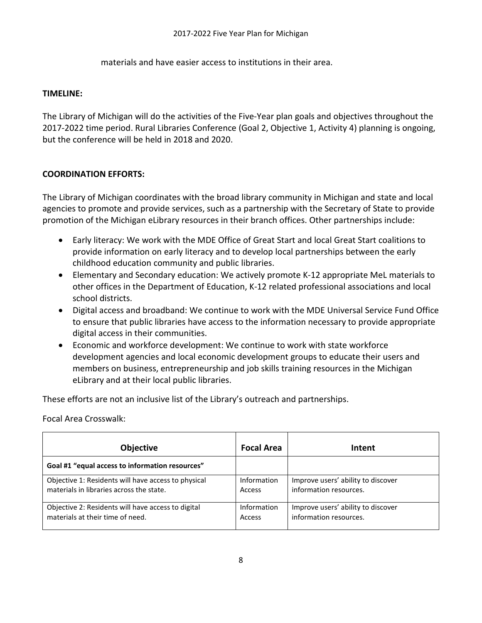materials and have easier access to institutions in their area.

#### **TIMELINE:**

The Library of Michigan will do the activities of the Five-Year plan goals and objectives throughout the 2017-2022 time period. Rural Libraries Conference (Goal 2, Objective 1, Activity 4) planning is ongoing, but the conference will be held in 2018 and 2020.

#### **COORDINATION EFFORTS:**

The Library of Michigan coordinates with the broad library community in Michigan and state and local agencies to promote and provide services, such as a partnership with the Secretary of State to provide promotion of the Michigan eLibrary resources in their branch offices. Other partnerships include:

- Early literacy: We work with the MDE Office of Great Start and local Great Start coalitions to provide information on early literacy and to develop local partnerships between the early childhood education community and public libraries.
- Elementary and Secondary education: We actively promote K-12 appropriate MeL materials to other offices in the Department of Education, K-12 related professional associations and local school districts.
- Digital access and broadband: We continue to work with the MDE Universal Service Fund Office to ensure that public libraries have access to the information necessary to provide appropriate digital access in their communities.
- Economic and workforce development: We continue to work with state workforce development agencies and local economic development groups to educate their users and members on business, entrepreneurship and job skills training resources in the Michigan eLibrary and at their local public libraries.

These efforts are not an inclusive list of the Library's outreach and partnerships.

Focal Area Crosswalk:

| <b>Objective</b>                                    | <b>Focal Area</b> | Intent                             |
|-----------------------------------------------------|-------------------|------------------------------------|
| Goal #1 "equal access to information resources"     |                   |                                    |
| Objective 1: Residents will have access to physical | Information       | Improve users' ability to discover |
| materials in libraries across the state.            | Access            | information resources.             |
| Objective 2: Residents will have access to digital  | Information       | Improve users' ability to discover |
| materials at their time of need.                    | Access            | information resources.             |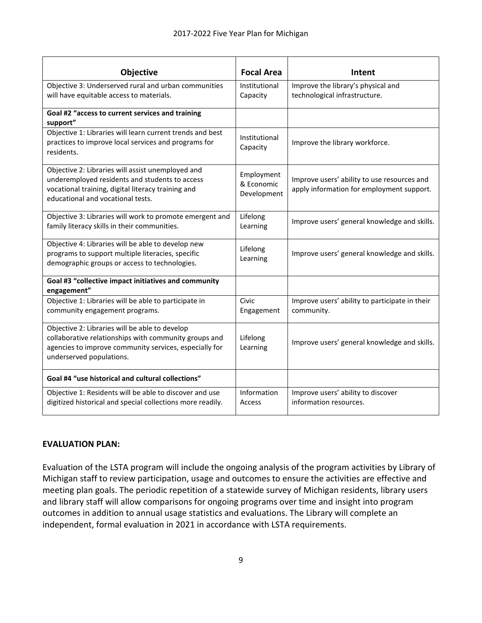| <b>Objective</b>                                                                                                                                                                               | <b>Focal Area</b>                       | Intent                                                                                   |
|------------------------------------------------------------------------------------------------------------------------------------------------------------------------------------------------|-----------------------------------------|------------------------------------------------------------------------------------------|
| Objective 3: Underserved rural and urban communities<br>will have equitable access to materials.                                                                                               | Institutional<br>Capacity               | Improve the library's physical and<br>technological infrastructure.                      |
| Goal #2 "access to current services and training<br>support"                                                                                                                                   |                                         |                                                                                          |
| Objective 1: Libraries will learn current trends and best<br>practices to improve local services and programs for<br>residents.                                                                | Institutional<br>Capacity               | Improve the library workforce.                                                           |
| Objective 2: Libraries will assist unemployed and<br>underemployed residents and students to access<br>vocational training, digital literacy training and<br>educational and vocational tests. | Employment<br>& Economic<br>Development | Improve users' ability to use resources and<br>apply information for employment support. |
| Objective 3: Libraries will work to promote emergent and<br>family literacy skills in their communities.                                                                                       | Lifelong<br>Learning                    | Improve users' general knowledge and skills.                                             |
| Objective 4: Libraries will be able to develop new<br>programs to support multiple literacies, specific<br>demographic groups or access to technologies.                                       | Lifelong<br>Learning                    | Improve users' general knowledge and skills.                                             |
| Goal #3 "collective impact initiatives and community<br>engagement"                                                                                                                            |                                         |                                                                                          |
| Objective 1: Libraries will be able to participate in<br>community engagement programs.                                                                                                        | Civic<br>Engagement                     | Improve users' ability to participate in their<br>community.                             |
| Objective 2: Libraries will be able to develop<br>collaborative relationships with community groups and<br>agencies to improve community services, especially for<br>underserved populations.  | Lifelong<br>Learning                    | Improve users' general knowledge and skills.                                             |
| Goal #4 "use historical and cultural collections"                                                                                                                                              |                                         |                                                                                          |
| Objective 1: Residents will be able to discover and use<br>digitized historical and special collections more readily.                                                                          | Information<br>Access                   | Improve users' ability to discover<br>information resources.                             |

#### **EVALUATION PLAN:**

Evaluation of the LSTA program will include the ongoing analysis of the program activities by Library of Michigan staff to review participation, usage and outcomes to ensure the activities are effective and meeting plan goals. The periodic repetition of a statewide survey of Michigan residents, library users and library staff will allow comparisons for ongoing programs over time and insight into program outcomes in addition to annual usage statistics and evaluations. The Library will complete an independent, formal evaluation in 2021 in accordance with LSTA requirements.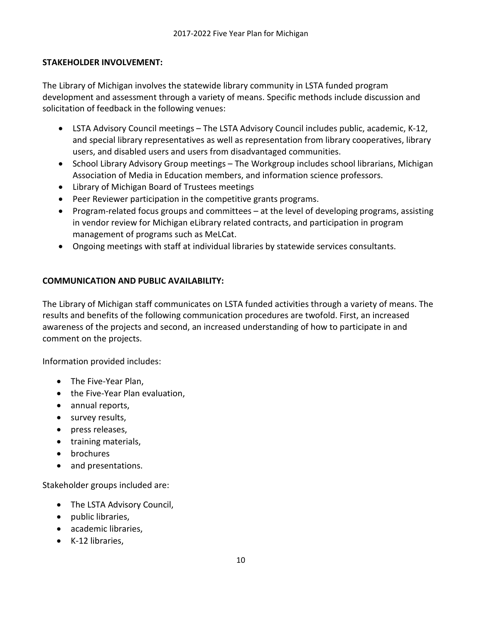## **STAKEHOLDER INVOLVEMENT:**

The Library of Michigan involves the statewide library community in LSTA funded program development and assessment through a variety of means. Specific methods include discussion and solicitation of feedback in the following venues:

- LSTA Advisory Council meetings The LSTA Advisory Council includes public, academic, K-12, and special library representatives as well as representation from library cooperatives, library users, and disabled users and users from disadvantaged communities.
- School Library Advisory Group meetings The Workgroup includes school librarians, Michigan Association of Media in Education members, and information science professors.
- Library of Michigan Board of Trustees meetings
- Peer Reviewer participation in the competitive grants programs.
- Program-related focus groups and committees at the level of developing programs, assisting in vendor review for Michigan eLibrary related contracts, and participation in program management of programs such as MeLCat.
- Ongoing meetings with staff at individual libraries by statewide services consultants.

## **COMMUNICATION AND PUBLIC AVAILABILITY:**

The Library of Michigan staff communicates on LSTA funded activities through a variety of means. The results and benefits of the following communication procedures are twofold. First, an increased awareness of the projects and second, an increased understanding of how to participate in and comment on the projects.

Information provided includes:

- The Five-Year Plan,
- the Five-Year Plan evaluation,
- annual reports,
- survey results,
- press releases,
- training materials,
- brochures
- and presentations.

Stakeholder groups included are:

- The LSTA Advisory Council,
- public libraries,
- academic libraries,
- K-12 libraries,